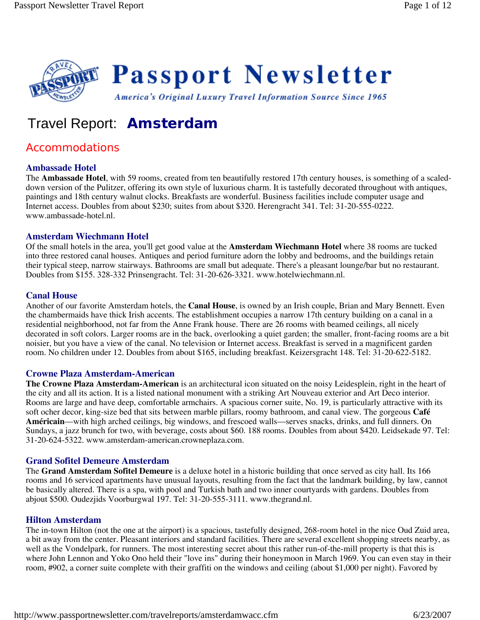

# Travel Report: **Amsterdam**

# Accommodations

# **Ambassade Hotel**

The **Ambassade Hotel**, with 59 rooms, created from ten beautifully restored 17th century houses, is something of a scaleddown version of the Pulitzer, offering its own style of luxurious charm. It is tastefully decorated throughout with antiques, paintings and 18th century walnut clocks. Breakfasts are wonderful. Business facilities include computer usage and Internet access. Doubles from about \$230; suites from about \$320. Herengracht 341. Tel: 31-20-555-0222. www.ambassade-hotel.nl.

# **Amsterdam Wiechmann Hotel**

Of the small hotels in the area, you'll get good value at the **Amsterdam Wiechmann Hotel** where 38 rooms are tucked into three restored canal houses. Antiques and period furniture adorn the lobby and bedrooms, and the buildings retain their typical steep, narrow stairways. Bathrooms are small but adequate. There's a pleasant lounge/bar but no restaurant. Doubles from \$155. 328-332 Prinsengracht. Tel: 31-20-626-3321. www.hotelwiechmann.nl.

# **Canal House**

Another of our favorite Amsterdam hotels, the **Canal House**, is owned by an Irish couple, Brian and Mary Bennett. Even the chambermaids have thick Irish accents. The establishment occupies a narrow 17th century building on a canal in a residential neighborhood, not far from the Anne Frank house. There are 26 rooms with beamed ceilings, all nicely decorated in soft colors. Larger rooms are in the back, overlooking a quiet garden; the smaller, front-facing rooms are a bit noisier, but you have a view of the canal. No television or Internet access. Breakfast is served in a magnificent garden room. No children under 12. Doubles from about \$165, including breakfast. Keizersgracht 148. Tel: 31-20-622-5182.

#### **Crowne Plaza Amsterdam-American**

**The Crowne Plaza Amsterdam-American** is an architectural icon situated on the noisy Leidesplein, right in the heart of the city and all its action. It is a listed national monument with a striking Art Nouveau exterior and Art Deco interior. Rooms are large and have deep, comfortable armchairs. A spacious corner suite, No. 19, is particularly attractive with its soft ocher decor, king-size bed that sits between marble pillars, roomy bathroom, and canal view. The gorgeous **Café Américain**—with high arched ceilings, big windows, and frescoed walls—serves snacks, drinks, and full dinners. On Sundays, a jazz brunch for two, with beverage, costs about \$60. 188 rooms. Doubles from about \$420. Leidsekade 97. Tel: 31-20-624-5322. www.amsterdam-american.crowneplaza.com.

# **Grand Sofitel Demeure Amsterdam**

The **Grand Amsterdam Sofitel Demeure** is a deluxe hotel in a historic building that once served as city hall. Its 166 rooms and 16 serviced apartments have unusual layouts, resulting from the fact that the landmark building, by law, cannot be basically altered. There is a spa, with pool and Turkish bath and two inner courtyards with gardens. Doubles from abjout \$500. Oudezjids Voorburgwal 197. Tel: 31-20-555-3111. www.thegrand.nl.

#### **Hilton Amsterdam**

The in-town Hilton (not the one at the airport) is a spacious, tastefully designed, 268-room hotel in the nice Oud Zuid area, a bit away from the center. Pleasant interiors and standard facilities. There are several excellent shopping streets nearby, as well as the Vondelpark, for runners. The most interesting secret about this rather run-of-the-mill property is that this is where John Lennon and Yoko Ono held their "love ins" during their honeymoon in March 1969. You can even stay in their room, #902, a corner suite complete with their graffiti on the windows and ceiling (about \$1,000 per night). Favored by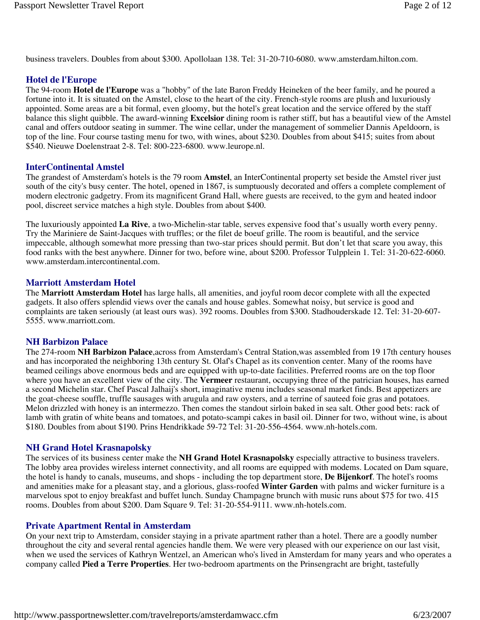business travelers. Doubles from about \$300. Apollolaan 138. Tel: 31-20-710-6080. www.amsterdam.hilton.com.

# **Hotel de l'Europe**

The 94-room **Hotel de l'Europe** was a "hobby" of the late Baron Freddy Heineken of the beer family, and he poured a fortune into it. It is situated on the Amstel, close to the heart of the city. French-style rooms are plush and luxuriously appointed. Some areas are a bit formal, even gloomy, but the hotel's great location and the service offered by the staff balance this slight quibble. The award-winning **Excelsior** dining room is rather stiff, but has a beautiful view of the Amstel canal and offers outdoor seating in summer. The wine cellar, under the management of sommelier Dannis Apeldoorn, is top of the line. Four course tasting menu for two, with wines, about \$230. Doubles from about \$415; suites from about \$540. Nieuwe Doelenstraat 2-8. Tel: 800-223-6800. www.leurope.nl.

# **InterContinental Amstel**

The grandest of Amsterdam's hotels is the 79 room **Amstel**, an InterContinental property set beside the Amstel river just south of the city's busy center. The hotel, opened in 1867, is sumptuously decorated and offers a complete complement of modern electronic gadgetry. From its magnificent Grand Hall, where guests are received, to the gym and heated indoor pool, discreet service matches a high style. Doubles from about \$400.

The luxuriously appointed **La Rive**, a two-Michelin-star table, serves expensive food that's usually worth every penny. Try the Mariniere de Saint-Jacques with truffles; or the filet de boeuf grille. The room is beautiful, and the service impeccable, although somewhat more pressing than two-star prices should permit. But don't let that scare you away, this food ranks with the best anywhere. Dinner for two, before wine, about \$200. Professor Tulpplein 1. Tel: 31-20-622-6060. www.amsterdam.intercontinental.com.

# **Marriott Amsterdam Hotel**

The **Marriott Amsterdam Hotel** has large halls, all amenities, and joyful room decor complete with all the expected gadgets. It also offers splendid views over the canals and house gables. Somewhat noisy, but service is good and complaints are taken seriously (at least ours was). 392 rooms. Doubles from \$300. Stadhouderskade 12. Tel: 31-20-607- 5555. www.marriott.com.

#### **NH Barbizon Palace**

The 274-room **NH Barbizon Palace**,across from Amsterdam's Central Station,was assembled from 19 17th century houses and has incorporated the neighboring 13th century St. Olaf's Chapel as its convention center. Many of the rooms have beamed ceilings above enormous beds and are equipped with up-to-date facilities. Preferred rooms are on the top floor where you have an excellent view of the city. The **Vermeer** restaurant, occupying three of the patrician houses, has earned a second Michelin star. Chef Pascal Jalhaij's short, imaginative menu includes seasonal market finds. Best appetizers are the goat-cheese souffle, truffle sausages with arugula and raw oysters, and a terrine of sauteed foie gras and potatoes. Melon drizzled with honey is an intermezzo. Then comes the standout sirloin baked in sea salt. Other good bets: rack of lamb with gratin of white beans and tomatoes, and potato-scampi cakes in basil oil. Dinner for two, without wine, is about \$180. Doubles from about \$190. Prins Hendrikkade 59-72 Tel: 31-20-556-4564. www.nh-hotels.com.

# **NH Grand Hotel Krasnapolsky**

The services of its business center make the **NH Grand Hotel Krasnapolsky** especially attractive to business travelers. The lobby area provides wireless internet connectivity, and all rooms are equipped with modems. Located on Dam square, the hotel is handy to canals, museums, and shops - including the top department store, **De Bijenkorf**. The hotel's rooms and amenities make for a pleasant stay, and a glorious, glass-roofed **Winter Garden** with palms and wicker furniture is a marvelous spot to enjoy breakfast and buffet lunch. Sunday Champagne brunch with music runs about \$75 for two. 415 rooms. Doubles from about \$200. Dam Square 9. Tel: 31-20-554-9111. www.nh-hotels.com.

# **Private Apartment Rental in Amsterdam**

On your next trip to Amsterdam, consider staying in a private apartment rather than a hotel. There are a goodly number throughout the city and several rental agencies handle them. We were very pleased with our experience on our last visit, when we used the services of Kathryn Wentzel, an American who's lived in Amsterdam for many years and who operates a company called **Pied a Terre Properties**. Her two-bedroom apartments on the Prinsengracht are bright, tastefully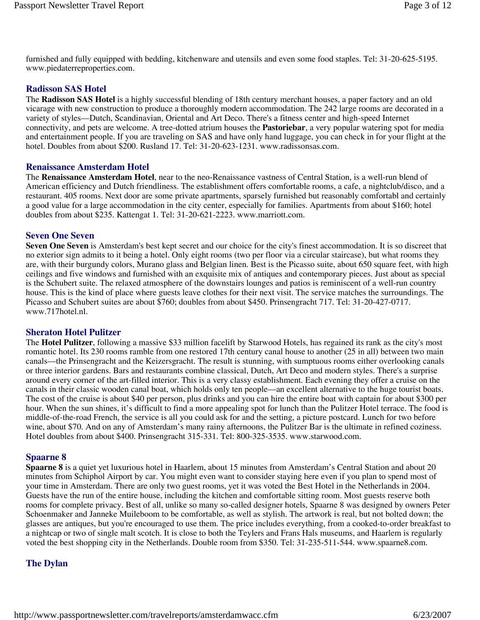furnished and fully equipped with bedding, kitchenware and utensils and even some food staples. Tel: 31-20-625-5195. www.piedaterreproperties.com.

# **Radisson SAS Hotel**

The **Radisson SAS Hotel** is a highly successful blending of 18th century merchant houses, a paper factory and an old vicarage with new construction to produce a thoroughly modern accommodation. The 242 large rooms are decorated in a variety of styles—Dutch, Scandinavian, Oriental and Art Deco. There's a fitness center and high-speed Internet connectivity, and pets are welcome. A tree-dotted atrium houses the **Pastoriebar**, a very popular watering spot for media and entertainment people. If you are traveling on SAS and have only hand luggage, you can check in for your flight at the hotel. Doubles from about \$200. Rusland 17. Tel: 31-20-623-1231. www.radissonsas.com.

#### **Renaissance Amsterdam Hotel**

The **Renaissance Amsterdam Hotel**, near to the neo-Renaissance vastness of Central Station, is a well-run blend of American efficiency and Dutch friendliness. The establishment offers comfortable rooms, a cafe, a nightclub/disco, and a restaurant. 405 rooms. Next door are some private apartments, sparsely furnished but reasonably comfortabl and certainly a good value for a large accommodation in the city center, especially for families. Apartments from about \$160; hotel doubles from about \$235. Kattengat 1. Tel: 31-20-621-2223. www.marriott.com.

# **Seven One Seven**

**Seven One Seven** is Amsterdam's best kept secret and our choice for the city's finest accommodation. It is so discreet that no exterior sign admits to it being a hotel. Only eight rooms (two per floor via a circular staircase), but what rooms they are, with their burgundy colors, Murano glass and Belgian linen. Best is the Picasso suite, about 650 square feet, with high ceilings and five windows and furnished with an exquisite mix of antiques and contemporary pieces. Just about as special is the Schubert suite. The relaxed atmosphere of the downstairs lounges and patios is reminiscent of a well-run country house. This is the kind of place where guests leave clothes for their next visit. The service matches the surroundings. The Picasso and Schubert suites are about \$760; doubles from about \$450. Prinsengracht 717. Tel: 31-20-427-0717. www.717hotel.nl.

#### **Sheraton Hotel Pulitzer**

The **Hotel Pulitzer**, following a massive \$33 million facelift by Starwood Hotels, has regained its rank as the city's most romantic hotel. Its 230 rooms ramble from one restored 17th century canal house to another (25 in all) between two main canals—the Prinsengracht and the Keizersgracht. The result is stunning, with sumptuous rooms either overlooking canals or three interior gardens. Bars and restaurants combine classical, Dutch, Art Deco and modern styles. There's a surprise around every corner of the art-filled interior. This is a very classy establishment. Each evening they offer a cruise on the canals in their classic wooden canal boat, which holds only ten people—an excellent alternative to the huge tourist boats. The cost of the cruise is about \$40 per person, plus drinks and you can hire the entire boat with captain for about \$300 per hour. When the sun shines, it's difficult to find a more appealing spot for lunch than the Pulitzer Hotel terrace. The food is middle-of-the-road French, the service is all you could ask for and the setting, a picture postcard. Lunch for two before wine, about \$70. And on any of Amsterdam's many rainy afternoons, the Pulitzer Bar is the ultimate in refined coziness. Hotel doubles from about \$400. Prinsengracht 315-331. Tel: 800-325-3535. www.starwood.com.

#### **Spaarne 8**

**Spaarne 8** is a quiet yet luxurious hotel in Haarlem, about 15 minutes from Amsterdam's Central Station and about 20 minutes from Schiphol Airport by car. You might even want to consider staying here even if you plan to spend most of your time in Amsterdam. There are only two guest rooms, yet it was voted the Best Hotel in the Netherlands in 2004. Guests have the run of the entire house, including the kitchen and comfortable sitting room. Most guests reserve both rooms for complete privacy. Best of all, unlike so many so-called designer hotels, Spaarne 8 was designed by owners Peter Schoenmaker and Janneke Muileboom to be comfortable, as well as stylish. The artwork is real, but not bolted down; the glasses are antiques, but you're encouraged to use them. The price includes everything, from a cooked-to-order breakfast to a nightcap or two of single malt scotch. It is close to both the Teylers and Frans Hals museums, and Haarlem is regularly voted the best shopping city in the Netherlands. Double room from \$350. Tel: 31-235-511-544. www.spaarne8.com.

# **The Dylan**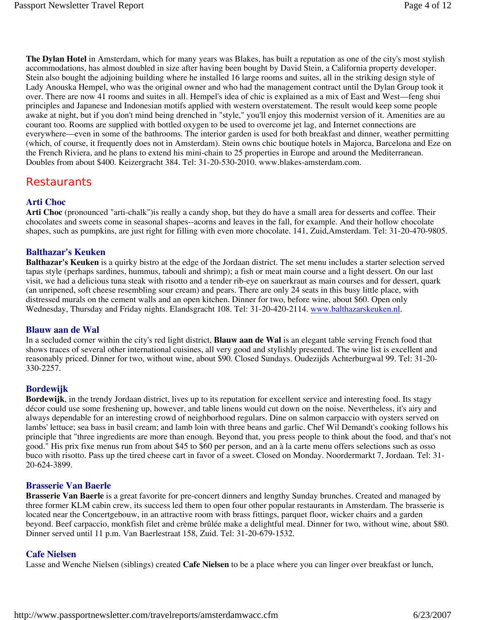**The Dylan Hotel** in Amsterdam, which for many years was Blakes, has built a reputation as one of the city's most stylish accommodations, has almost doubled in size after having been bought by David Stein, a California property developer. Stein also bought the adjoining building where he installed 16 large rooms and suites, all in the striking design style of Lady Anouska Hempel, who was the original owner and who had the management contract until the Dylan Group took it over. There are now 41 rooms and suites in all. Hempel's idea of chic is explained as a mix of East and West—feng shui principles and Japanese and Indonesian motifs applied with western overstatement. The result would keep some people awake at night, but if you don't mind being drenched in "style," you'll enjoy this modernist version of it. Amenities are au courant too. Rooms are supplied with bottled oxygen to be used to overcome jet lag, and Internet connections are everywhere—even in some of the bathrooms. The interior garden is used for both breakfast and dinner, weather permitting (which, of course, it frequently does not in Amsterdam). Stein owns chic boutique hotels in Majorca, Barcelona and Eze on the French Riviera, and he plans to extend his mini-chain to 25 properties in Europe and around the Mediterranean. Doubles from about \$400. Keizergracht 384. Tel: 31-20-530-2010. www.blakes-amsterdam.com.

# **Restaurants**

# **Arti Choc**

**Arti Choc** (pronounced "arti-chalk")is really a candy shop, but they do have a small area for desserts and coffee. Their chocolates and sweets come in seasonal shapes--acorns and leaves in the fall, for example. And their hollow chocolate shapes, such as pumpkins, are just right for filling with even more chocolate. 141, Zuid,Amsterdam. Tel: 31-20-470-9805.

# **Balthazar's Keuken**

**Balthazar's Keuken** is a quirky bistro at the edge of the Jordaan district. The set menu includes a starter selection served tapas style (perhaps sardines, hummus, tabouli and shrimp); a fish or meat main course and a light dessert. On our last visit, we had a delicious tuna steak with risotto and a tender rib-eye on sauerkraut as main courses and for dessert, quark (an unripened, soft cheese resembling sour cream) and pears. There are only 24 seats in this busy little place, with distressed murals on the cement walls and an open kitchen. Dinner for two, before wine, about \$60. Open only Wednesday, Thursday and Friday nights. Elandsgracht 108. Tel: 31-20-420-2114. www.balthazarskeuken.nl.

#### **Blauw aan de Wal**

In a secluded corner within the city's red light district, **Blauw aan de Wal** is an elegant table serving French food that shows traces of several other international cuisines, all very good and stylishly presented. The wine list is excellent and reasonably priced. Dinner for two, without wine, about \$90. Closed Sundays. Oudezijds Achterburgwal 99. Tel: 31-20- 330-2257.

# **Bordewijk**

**Bordewijk**, in the trendy Jordaan district, lives up to its reputation for excellent service and interesting food. Its stagy décor could use some freshening up, however, and table linens would cut down on the noise. Nevertheless, it's airy and always dependable for an interesting crowd of neighborhood regulars. Dine on salmon carpaccio with oysters served on lambs' lettuce; sea bass in basil cream; and lamb loin with three beans and garlic. Chef Wil Demandt's cooking follows his principle that "three ingredients are more than enough. Beyond that, you press people to think about the food, and that's not good." His prix fixe menus run from about \$45 to \$60 per person, and an à la carte menu offers selections such as osso buco with risotto. Pass up the tired cheese cart in favor of a sweet. Closed on Monday. Noordermarkt 7, Jordaan. Tel: 31- 20-624-3899.

#### **Brasserie Van Baerle**

**Brasserie Van Baerle** is a great favorite for pre-concert dinners and lengthy Sunday brunches. Created and managed by three former KLM cabin crew, its success led them to open four other popular restaurants in Amsterdam. The brasserie is located near the Concertgebouw, in an attractive room with brass fittings, parquet floor, wicker chairs and a garden beyond. Beef carpaccio, monkfish filet and crème brûlée make a delightful meal. Dinner for two, without wine, about \$80. Dinner served until 11 p.m. Van Baerlestraat 158, Zuid. Tel: 31-20-679-1532.

#### **Cafe Nielsen**

Lasse and Wenche Nielsen (siblings) created **Cafe Nielsen** to be a place where you can linger over breakfast or lunch,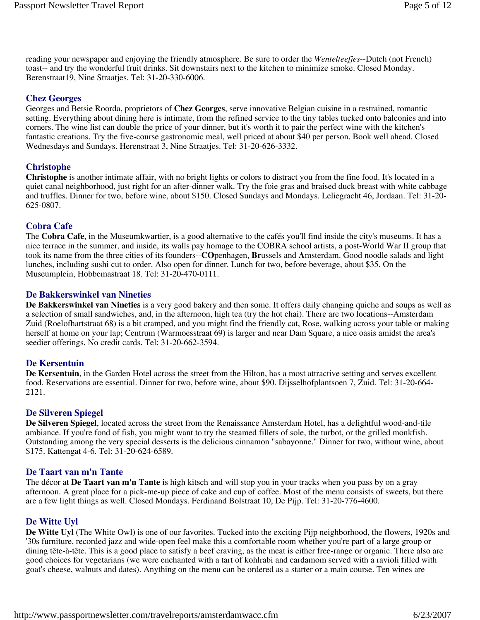reading your newspaper and enjoying the friendly atmosphere. Be sure to order the *Wentelteefjes*--Dutch (not French) toast-- and try the wonderful fruit drinks. Sit downstairs next to the kitchen to minimize smoke. Closed Monday. Berenstraat19, Nine Straatjes. Tel: 31-20-330-6006.

# **Chez Georges**

Georges and Betsie Roorda, proprietors of **Chez Georges**, serve innovative Belgian cuisine in a restrained, romantic setting. Everything about dining here is intimate, from the refined service to the tiny tables tucked onto balconies and into corners. The wine list can double the price of your dinner, but it's worth it to pair the perfect wine with the kitchen's fantastic creations. Try the five-course gastronomic meal, well priced at about \$40 per person. Book well ahead. Closed Wednesdays and Sundays. Herenstraat 3, Nine Straatjes. Tel: 31-20-626-3332.

#### **Christophe**

**Christophe** is another intimate affair, with no bright lights or colors to distract you from the fine food. It's located in a quiet canal neighborhood, just right for an after-dinner walk. Try the foie gras and braised duck breast with white cabbage and truffles. Dinner for two, before wine, about \$150. Closed Sundays and Mondays. Leliegracht 46, Jordaan. Tel: 31-20- 625-0807.

# **Cobra Cafe**

The **Cobra Cafe**, in the Museumkwartier, is a good alternative to the cafés you'll find inside the city's museums. It has a nice terrace in the summer, and inside, its walls pay homage to the COBRA school artists, a post-World War II group that took its name from the three cities of its founders--**CO**penhagen, **Br**ussels and **A**msterdam. Good noodle salads and light lunches, including sushi cut to order. Also open for dinner. Lunch for two, before beverage, about \$35. On the Museumplein, Hobbemastraat 18. Tel: 31-20-470-0111.

# **De Bakkerswinkel van Nineties**

**De Bakkerswinkel van Nineties** is a very good bakery and then some. It offers daily changing quiche and soups as well as a selection of small sandwiches, and, in the afternoon, high tea (try the hot chai). There are two locations--Amsterdam Zuid (Roelofhartstraat 68) is a bit cramped, and you might find the friendly cat, Rose, walking across your table or making herself at home on your lap; Centrum (Warmoesstraat 69) is larger and near Dam Square, a nice oasis amidst the area's seedier offerings. No credit cards. Tel: 31-20-662-3594.

#### **De Kersentuin**

**De Kersentuin**, in the Garden Hotel across the street from the Hilton, has a most attractive setting and serves excellent food. Reservations are essential. Dinner for two, before wine, about \$90. Dijsselhofplantsoen 7, Zuid. Tel: 31-20-664- 2121.

#### **De Silveren Spiegel**

**De Silveren Spiegel**, located across the street from the Renaissance Amsterdam Hotel, has a delightful wood-and-tile ambiance. If you're fond of fish, you might want to try the steamed fillets of sole, the turbot, or the grilled monkfish. Outstanding among the very special desserts is the delicious cinnamon "sabayonne." Dinner for two, without wine, about \$175. Kattengat 4-6. Tel: 31-20-624-6589.

#### **De Taart van m'n Tante**

The décor at **De Taart van m'n Tante** is high kitsch and will stop you in your tracks when you pass by on a gray afternoon. A great place for a pick-me-up piece of cake and cup of coffee. Most of the menu consists of sweets, but there are a few light things as well. Closed Mondays. Ferdinand Bolstraat 10, De Pijp. Tel: 31-20-776-4600.

# **De Witte Uyl**

**De Witte Uyl** (The White Owl) is one of our favorites. Tucked into the exciting Pijp neighborhood, the flowers, 1920s and '30s furniture, recorded jazz and wide-open feel make this a comfortable room whether you're part of a large group or dining tête-à-tête. This is a good place to satisfy a beef craving, as the meat is either free-range or organic. There also are good choices for vegetarians (we were enchanted with a tart of kohlrabi and cardamom served with a ravioli filled with goat's cheese, walnuts and dates). Anything on the menu can be ordered as a starter or a main course. Ten wines are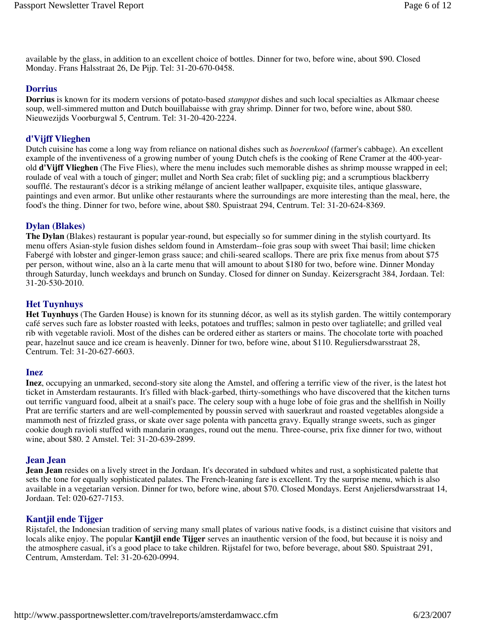available by the glass, in addition to an excellent choice of bottles. Dinner for two, before wine, about \$90. Closed Monday. Frans Halsstraat 26, De Pijp. Tel: 31-20-670-0458.

# **Dorrius**

**Dorrius** is known for its modern versions of potato-based *stamppot* dishes and such local specialties as Alkmaar cheese soup, well-simmered mutton and Dutch bouillabaisse with gray shrimp. Dinner for two, before wine, about \$80. Nieuwezijds Voorburgwal 5, Centrum. Tel: 31-20-420-2224.

#### **d'Vijff Vlieghen**

Dutch cuisine has come a long way from reliance on national dishes such as *boerenkool* (farmer's cabbage). An excellent example of the inventiveness of a growing number of young Dutch chefs is the cooking of Rene Cramer at the 400-yearold **d'Vijff Vlieghen** (The Five Flies), where the menu includes such memorable dishes as shrimp mousse wrapped in eel; roulade of veal with a touch of ginger; mullet and North Sea crab; filet of suckling pig; and a scrumptious blackberry soufflé. The restaurant's décor is a striking mélange of ancient leather wallpaper, exquisite tiles, antique glassware, paintings and even armor. But unlike other restaurants where the surroundings are more interesting than the meal, here, the food's the thing. Dinner for two, before wine, about \$80. Spuistraat 294, Centrum. Tel: 31-20-624-8369.

# **Dylan (Blakes)**

**The Dylan** (Blakes) restaurant is popular year-round, but especially so for summer dining in the stylish courtyard. Its menu offers Asian-style fusion dishes seldom found in Amsterdam--foie gras soup with sweet Thai basil; lime chicken Fabergé with lobster and ginger-lemon grass sauce; and chili-seared scallops. There are prix fixe menus from about \$75 per person, without wine, also an à la carte menu that will amount to about \$180 for two, before wine. Dinner Monday through Saturday, lunch weekdays and brunch on Sunday. Closed for dinner on Sunday. Keizersgracht 384, Jordaan. Tel: 31-20-530-2010.

# **Het Tuynhuys**

**Het Tuynhuys** (The Garden House) is known for its stunning décor, as well as its stylish garden. The wittily contemporary café serves such fare as lobster roasted with leeks, potatoes and truffles; salmon in pesto over tagliatelle; and grilled veal rib with vegetable ravioli. Most of the dishes can be ordered either as starters or mains. The chocolate torte with poached pear, hazelnut sauce and ice cream is heavenly. Dinner for two, before wine, about \$110. Reguliersdwarsstraat 28, Centrum. Tel: 31-20-627-6603.

#### **Inez**

**Inez**, occupying an unmarked, second-story site along the Amstel, and offering a terrific view of the river, is the latest hot ticket in Amsterdam restaurants. It's filled with black-garbed, thirty-somethings who have discovered that the kitchen turns out terrific vanguard food, albeit at a snail's pace. The celery soup with a huge lobe of foie gras and the shellfish in Noilly Prat are terrific starters and are well-complemented by poussin served with sauerkraut and roasted vegetables alongside a mammoth nest of frizzled grass, or skate over sage polenta with pancetta gravy. Equally strange sweets, such as ginger cookie dough ravioli stuffed with mandarin oranges, round out the menu. Three-course, prix fixe dinner for two, without wine, about \$80. 2 Amstel. Tel: 31-20-639-2899.

#### **Jean Jean**

**Jean Jean** resides on a lively street in the Jordaan. It's decorated in subdued whites and rust, a sophisticated palette that sets the tone for equally sophisticated palates. The French-leaning fare is excellent. Try the surprise menu, which is also available in a vegetarian version. Dinner for two, before wine, about \$70. Closed Mondays. Eerst Anjeliersdwarsstraat 14, Jordaan. Tel: 020-627-7153.

#### **Kantjil ende Tijger**

Rijstafel, the Indonesian tradition of serving many small plates of various native foods, is a distinct cuisine that visitors and locals alike enjoy. The popular **Kantjil ende Tijger** serves an inauthentic version of the food, but because it is noisy and the atmosphere casual, it's a good place to take children. Rijstafel for two, before beverage, about \$80. Spuistraat 291, Centrum, Amsterdam. Tel: 31-20-620-0994.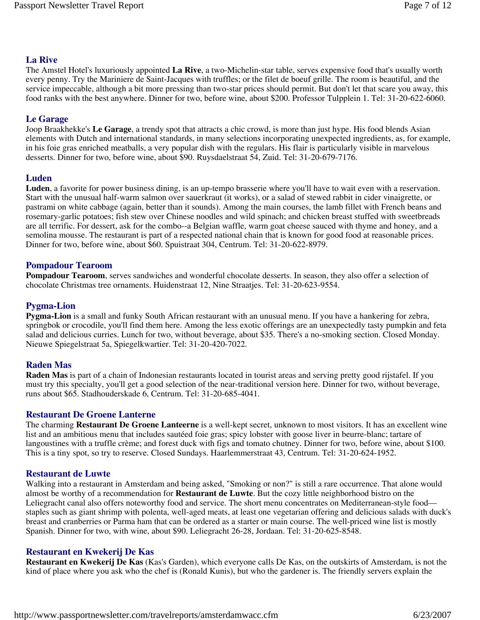# **La Rive**

The Amstel Hotel's luxuriously appointed **La Rive**, a two-Michelin-star table, serves expensive food that's usually worth every penny. Try the Mariniere de Saint-Jacques with truffles; or the filet de boeuf grille. The room is beautiful, and the service impeccable, although a bit more pressing than two-star prices should permit. But don't let that scare you away, this food ranks with the best anywhere. Dinner for two, before wine, about \$200. Professor Tulpplein 1. Tel: 31-20-622-6060.

# **Le Garage**

Joop Braakhekke's **Le Garage**, a trendy spot that attracts a chic crowd, is more than just hype. His food blends Asian elements with Dutch and international standards, in many selections incorporating unexpected ingredients, as, for example, in his foie gras enriched meatballs, a very popular dish with the regulars. His flair is particularly visible in marvelous desserts. Dinner for two, before wine, about \$90. Ruysdaelstraat 54, Zuid. Tel: 31-20-679-7176.

# **Luden**

**Luden**, a favorite for power business dining, is an up-tempo brasserie where you'll have to wait even with a reservation. Start with the unusual half-warm salmon over sauerkraut (it works), or a salad of stewed rabbit in cider vinaigrette, or pastrami on white cabbage (again, better than it sounds). Among the main courses, the lamb fillet with French beans and rosemary-garlic potatoes; fish stew over Chinese noodles and wild spinach; and chicken breast stuffed with sweetbreads are all terrific. For dessert, ask for the combo--a Belgian waffle, warm goat cheese sauced with thyme and honey, and a semolina mousse. The restaurant is part of a respected national chain that is known for good food at reasonable prices. Dinner for two, before wine, about \$60. Spuistraat 304, Centrum. Tel: 31-20-622-8979.

#### **Pompadour Tearoom**

**Pompadour Tearoom**, serves sandwiches and wonderful chocolate desserts. In season, they also offer a selection of chocolate Christmas tree ornaments. Huidenstraat 12, Nine Straatjes. Tel: 31-20-623-9554.

# **Pygma-Lion**

**Pygma-Lion** is a small and funky South African restaurant with an unusual menu. If you have a hankering for zebra, springbok or crocodile, you'll find them here. Among the less exotic offerings are an unexpectedly tasty pumpkin and feta salad and delicious curries. Lunch for two, without beverage, about \$35. There's a no-smoking section. Closed Monday. Nieuwe Spiegelstraat 5a, Spiegelkwartier. Tel: 31-20-420-7022.

#### **Raden Mas**

**Raden Mas** is part of a chain of Indonesian restaurants located in tourist areas and serving pretty good rijstafel. If you must try this specialty, you'll get a good selection of the near-traditional version here. Dinner for two, without beverage, runs about \$65. Stadhouderskade 6, Centrum. Tel: 31-20-685-4041.

#### **Restaurant De Groene Lanterne**

The charming **Restaurant De Groene Lanteerne** is a well-kept secret, unknown to most visitors. It has an excellent wine list and an ambitious menu that includes sautéed foie gras; spicy lobster with goose liver in beurre-blanc; tartare of langoustines with a truffle crème; and forest duck with figs and tomato chutney. Dinner for two, before wine, about \$100. This is a tiny spot, so try to reserve. Closed Sundays. Haarlemmerstraat 43, Centrum. Tel: 31-20-624-1952.

#### **Restaurant de Luwte**

Walking into a restaurant in Amsterdam and being asked, "Smoking or non?" is still a rare occurrence. That alone would almost be worthy of a recommendation for **Restaurant de Luwte**. But the cozy little neighborhood bistro on the Leliegracht canal also offers noteworthy food and service. The short menu concentrates on Mediterranean-style food staples such as giant shrimp with polenta, well-aged meats, at least one vegetarian offering and delicious salads with duck's breast and cranberries or Parma ham that can be ordered as a starter or main course. The well-priced wine list is mostly Spanish. Dinner for two, with wine, about \$90. Leliegracht 26-28, Jordaan. Tel: 31-20-625-8548.

#### **Restaurant en Kwekerij De Kas**

**Restaurant en Kwekerij De Kas** (Kas's Garden), which everyone calls De Kas, on the outskirts of Amsterdam, is not the kind of place where you ask who the chef is (Ronald Kunis), but who the gardener is. The friendly servers explain the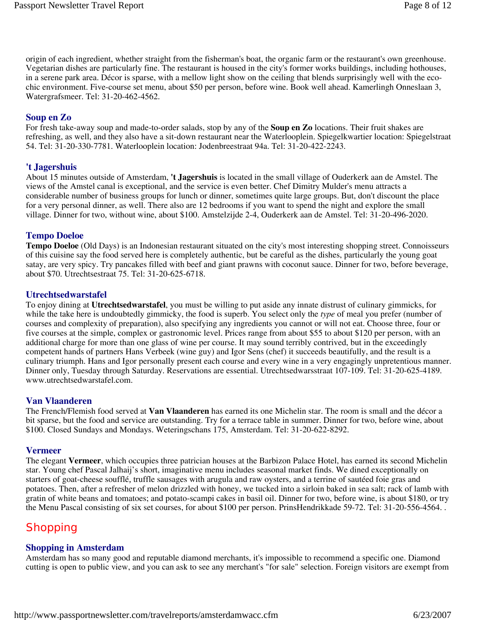origin of each ingredient, whether straight from the fisherman's boat, the organic farm or the restaurant's own greenhouse. Vegetarian dishes are particularly fine. The restaurant is housed in the city's former works buildings, including hothouses, in a serene park area. Décor is sparse, with a mellow light show on the ceiling that blends surprisingly well with the ecochic environment. Five-course set menu, about \$50 per person, before wine. Book well ahead. Kamerlingh Onneslaan 3, Watergrafsmeer. Tel: 31-20-462-4562.

# **Soup en Zo**

For fresh take-away soup and made-to-order salads, stop by any of the **Soup en Zo** locations. Their fruit shakes are refreshing, as well, and they also have a sit-down restaurant near the Waterlooplein. Spiegelkwartier location: Spiegelstraat 54. Tel: 31-20-330-7781. Waterlooplein location: Jodenbreestraat 94a. Tel: 31-20-422-2243.

#### **'t Jagershuis**

About 15 minutes outside of Amsterdam, **'t Jagershuis** is located in the small village of Ouderkerk aan de Amstel. The views of the Amstel canal is exceptional, and the service is even better. Chef Dimitry Mulder's menu attracts a considerable number of business groups for lunch or dinner, sometimes quite large groups. But, don't discount the place for a very personal dinner, as well. There also are 12 bedrooms if you want to spend the night and explore the small village. Dinner for two, without wine, about \$100. Amstelzijde 2-4, Ouderkerk aan de Amstel. Tel: 31-20-496-2020.

# **Tempo Doeloe**

**Tempo Doeloe** (Old Days) is an Indonesian restaurant situated on the city's most interesting shopping street. Connoisseurs of this cuisine say the food served here is completely authentic, but be careful as the dishes, particularly the young goat satay, are very spicy. Try pancakes filled with beef and giant prawns with coconut sauce. Dinner for two, before beverage, about \$70. Utrechtsestraat 75. Tel: 31-20-625-6718.

#### **Utrechtsedwarstafel**

To enjoy dining at **Utrechtsedwarstafel**, you must be willing to put aside any innate distrust of culinary gimmicks, for while the take here is undoubtedly gimmicky, the food is superb. You select only the *type* of meal you prefer (number of courses and complexity of preparation), also specifying any ingredients you cannot or will not eat. Choose three, four or five courses at the simple, complex or gastronomic level. Prices range from about \$55 to about \$120 per person, with an additional charge for more than one glass of wine per course. It may sound terribly contrived, but in the exceedingly competent hands of partners Hans Verbeek (wine guy) and Igor Sens (chef) it succeeds beautifully, and the result is a culinary triumph. Hans and Igor personally present each course and every wine in a very engagingly unpretentious manner. Dinner only, Tuesday through Saturday. Reservations are essential. Utrechtsedwarsstraat 107-109. Tel: 31-20-625-4189. www.utrechtsedwarstafel.com.

#### **Van Vlaanderen**

The French/Flemish food served at **Van Vlaanderen** has earned its one Michelin star. The room is small and the décor a bit sparse, but the food and service are outstanding. Try for a terrace table in summer. Dinner for two, before wine, about \$100. Closed Sundays and Mondays. Weteringschans 175, Amsterdam. Tel: 31-20-622-8292.

#### **Vermeer**

The elegant **Vermeer**, which occupies three patrician houses at the Barbizon Palace Hotel, has earned its second Michelin star. Young chef Pascal Jalhaij's short, imaginative menu includes seasonal market finds. We dined exceptionally on starters of goat-cheese soufflé, truffle sausages with arugula and raw oysters, and a terrine of sautéed foie gras and potatoes. Then, after a refresher of melon drizzled with honey, we tucked into a sirloin baked in sea salt; rack of lamb with gratin of white beans and tomatoes; and potato-scampi cakes in basil oil. Dinner for two, before wine, is about \$180, or try the Menu Pascal consisting of six set courses, for about \$100 per person. PrinsHendrikkade 59-72. Tel: 31-20-556-4564. .

# **Shopping**

#### **Shopping in Amsterdam**

Amsterdam has so many good and reputable diamond merchants, it's impossible to recommend a specific one. Diamond cutting is open to public view, and you can ask to see any merchant's "for sale" selection. Foreign visitors are exempt from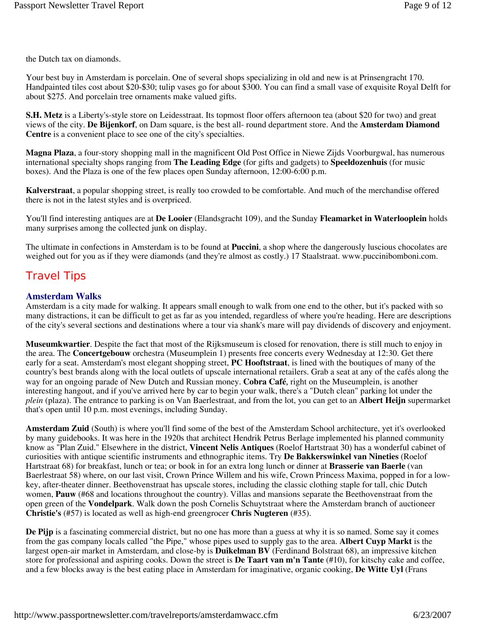the Dutch tax on diamonds.

Your best buy in Amsterdam is porcelain. One of several shops specializing in old and new is at Prinsengracht 170. Handpainted tiles cost about \$20-\$30; tulip vases go for about \$300. You can find a small vase of exquisite Royal Delft for about \$275. And porcelain tree ornaments make valued gifts.

**S.H. Metz** is a Liberty's-style store on Leidesstraat. Its topmost floor offers afternoon tea (about \$20 for two) and great views of the city. **De Bijenkorf**, on Dam square, is the best all- round department store. And the **Amsterdam Diamond Centre** is a convenient place to see one of the city's specialties.

**Magna Plaza**, a four-story shopping mall in the magnificent Old Post Office in Niewe Zijds Voorburgwal, has numerous international specialty shops ranging from **The Leading Edge** (for gifts and gadgets) to **Speeldozenhuis** (for music boxes). And the Plaza is one of the few places open Sunday afternoon, 12:00-6:00 p.m.

**Kalverstraat**, a popular shopping street, is really too crowded to be comfortable. And much of the merchandise offered there is not in the latest styles and is overpriced.

You'll find interesting antiques are at **De Looier** (Elandsgracht 109), and the Sunday **Fleamarket in Waterlooplein** holds many surprises among the collected junk on display.

The ultimate in confections in Amsterdam is to be found at **Puccini**, a shop where the dangerously luscious chocolates are weighed out for you as if they were diamonds (and they're almost as costly.) 17 Staalstraat. www.puccinibomboni.com.

# Travel Tips

# **Amsterdam Walks**

Amsterdam is a city made for walking. It appears small enough to walk from one end to the other, but it's packed with so many distractions, it can be difficult to get as far as you intended, regardless of where you're heading. Here are descriptions of the city's several sections and destinations where a tour via shank's mare will pay dividends of discovery and enjoyment.

**Museumkwartier**. Despite the fact that most of the Rijksmuseum is closed for renovation, there is still much to enjoy in the area. The **Concertgebouw** orchestra (Museumplein 1) presents free concerts every Wednesday at 12:30. Get there early for a seat. Amsterdam's most elegant shopping street, **PC Hooftstraat**, is lined with the boutiques of many of the country's best brands along with the local outlets of upscale international retailers. Grab a seat at any of the cafés along the way for an ongoing parade of New Dutch and Russian money. **Cobra Café**, right on the Museumplein, is another interesting hangout, and if you've arrived here by car to begin your walk, there's a "Dutch clean" parking lot under the *plein* (plaza). The entrance to parking is on Van Baerlestraat, and from the lot, you can get to an **Albert Heijn** supermarket that's open until 10 p.m. most evenings, including Sunday.

**Amsterdam Zuid** (South) is where you'll find some of the best of the Amsterdam School architecture, yet it's overlooked by many guidebooks. It was here in the 1920s that architect Hendrik Petrus Berlage implemented his planned community know as "Plan Zuid." Elsewhere in the district, **Vincent Nelis Antiques** (Roelof Hartstraat 30) has a wonderful cabinet of curiosities with antique scientific instruments and ethnographic items. Try **De Bakkerswinkel van Nineties** (Roelof Hartstraat 68) for breakfast, lunch or tea; or book in for an extra long lunch or dinner at **Brasserie van Baerle** (van Baerlestraat 58) where, on our last visit, Crown Prince Willem and his wife, Crown Princess Maxima, popped in for a lowkey, after-theater dinner. Beethovenstraat has upscale stores, including the classic clothing staple for tall, chic Dutch women, **Pauw** (#68 and locations throughout the country). Villas and mansions separate the Beethovenstraat from the open green of the **Vondelpark**. Walk down the posh Cornelis Schuytstraat where the Amsterdam branch of auctioneer **Christie's** (#57) is located as well as high-end greengrocer **Chris Nugteren** (#35).

**De Pijp** is a fascinating commercial district, but no one has more than a guess at why it is so named. Some say it comes from the gas company locals called "the Pipe," whose pipes used to supply gas to the area. **Albert Cuyp Markt** is the largest open-air market in Amsterdam, and close-by is **Duikelman BV** (Ferdinand Bolstraat 68), an impressive kitchen store for professional and aspiring cooks. Down the street is **De Taart van m'n Tante** (#10), for kitschy cake and coffee, and a few blocks away is the best eating place in Amsterdam for imaginative, organic cooking, **De Witte Uyl** (Frans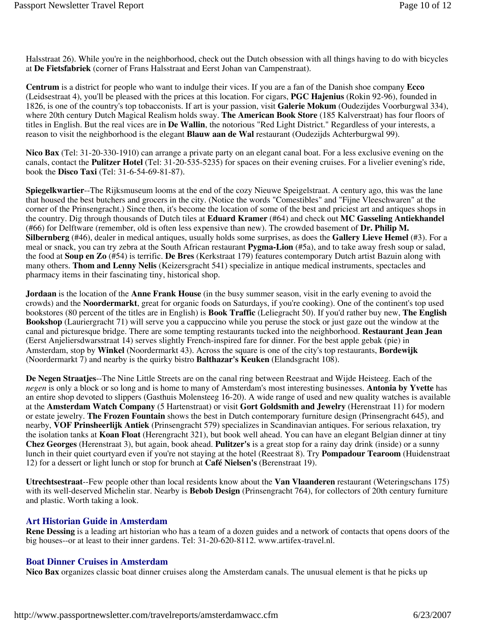Halsstraat 26). While you're in the neighborhood, check out the Dutch obsession with all things having to do with bicycles at **De Fietsfabriek** (corner of Frans Halsstraat and Eerst Johan van Campenstraat).

**Centrum** is a district for people who want to indulge their vices. If you are a fan of the Danish shoe company **Ecco** (Leidsestraat 4), you'll be pleased with the prices at this location. For cigars, **PGC Hajenius** (Rokin 92-96), founded in 1826, is one of the country's top tobacconists. If art is your passion, visit **Galerie Mokum** (Oudezijdes Voorburgwal 334), where 20th century Dutch Magical Realism holds sway. **The American Book Store** (185 Kalverstraat) has four floors of titles in English. But the real vices are in **De Wallin**, the notorious "Red Light District." Regardless of your interests, a reason to visit the neighborhood is the elegant **Blauw aan de Wal** restaurant (Oudezijds Achterburgwal 99).

**Nico Bax** (Tel: 31-20-330-1910) can arrange a private party on an elegant canal boat. For a less exclusive evening on the canals, contact the **Pulitzer Hotel** (Tel: 31-20-535-5235) for spaces on their evening cruises. For a livelier evening's ride, book the **Disco Taxi** (Tel: 31-6-54-69-81-87).

**Spiegelkwartier**--The Rijksmuseum looms at the end of the cozy Nieuwe Speigelstraat. A century ago, this was the lane that housed the best butchers and grocers in the city. (Notice the words "Comestibles" and "Fijne Vleeschwaren" at the corner of the Prinsengracht.) Since then, it's become the location of some of the best and priciest art and antiques shops in the country. Dig through thousands of Dutch tiles at **Eduard Kramer** (#64) and check out **MC Gasseling Antiekhandel** (#66) for Delftware (remember, old is often less expensive than new). The crowded basement of **Dr. Philip M. Silbernberg** (#46), dealer in medical antiques, usually holds some surprises, as does the **Gallery Lieve Hemel** (#3). For a meal or snack, you can try zebra at the South African restaurant **Pygma-Lion** (#5a), and to take away fresh soup or salad, the food at **Soup en Zo** (#54) is terrific. **De Bres** (Kerkstraat 179) features contemporary Dutch artist Bazuin along with many others. **Thom and Lenny Nelis** (Keizersgracht 541) specialize in antique medical instruments, spectacles and pharmacy items in their fascinating tiny, historical shop.

**Jordaan** is the location of the **Anne Frank House** (in the busy summer season, visit in the early evening to avoid the crowds) and the **Noordermarkt**, great for organic foods on Saturdays, if you're cooking). One of the continent's top used bookstores (80 percent of the titles are in English) is **Book Traffic** (Leliegracht 50). If you'd rather buy new, **The English Bookshop** (Lauriergracht 71) will serve you a cappuccino while you peruse the stock or just gaze out the window at the canal and picturesque bridge. There are some tempting restaurants tucked into the neighborhood. **Restaurant Jean Jean** (Eerst Anjeliersdwarsstraat 14) serves slightly French-inspired fare for dinner. For the best apple gebak (pie) in Amsterdam, stop by **Winkel** (Noordermarkt 43). Across the square is one of the city's top restaurants, **Bordewijk** (Noordermarkt 7) and nearby is the quirky bistro **Balthazar's Keuken** (Elandsgracht 108).

**De Negen Straatjes**--The Nine Little Streets are on the canal ring between Reestraat and Wijde Heisteeg. Each of the *negen* is only a block or so long and is home to many of Amsterdam's most interesting businesses. **Antonia by Yvette** has an entire shop devoted to slippers (Gasthuis Molensteeg 16-20). A wide range of used and new quality watches is available at the **Amsterdam Watch Company** (5 Hartenstraat) or visit **Gort Goldsmith and Jewelry** (Herenstraat 11) for modern or estate jewelry. **The Frozen Fountain** shows the best in Dutch contemporary furniture design (Prinsengracht 645), and nearby, **VOF Prinsheerlijk Antiek** (Prinsengracht 579) specializes in Scandinavian antiques. For serious relaxation, try the isolation tanks at **Koan Float** (Herengracht 321), but book well ahead. You can have an elegant Belgian dinner at tiny **Chez Georges** (Herenstraat 3), but again, book ahead. **Pulitzer's** is a great stop for a rainy day drink (inside) or a sunny lunch in their quiet courtyard even if you're not staying at the hotel (Reestraat 8). Try **Pompadour Tearoom** (Huidenstraat 12) for a dessert or light lunch or stop for brunch at **Café Nielsen's** (Berenstraat 19).

**Utrechtsestraat**--Few people other than local residents know about the **Van Vlaanderen** restaurant (Weteringschans 175) with its well-deserved Michelin star. Nearby is **Bebob Design** (Prinsengracht 764), for collectors of 20th century furniture and plastic. Worth taking a look.

#### **Art Historian Guide in Amsterdam**

**Rene Dessing** is a leading art historian who has a team of a dozen guides and a network of contacts that opens doors of the big houses--or at least to their inner gardens. Tel: 31-20-620-8112. www.artifex-travel.nl.

#### **Boat Dinner Cruises in Amsterdam**

**Nico Bax** organizes classic boat dinner cruises along the Amsterdam canals. The unusual element is that he picks up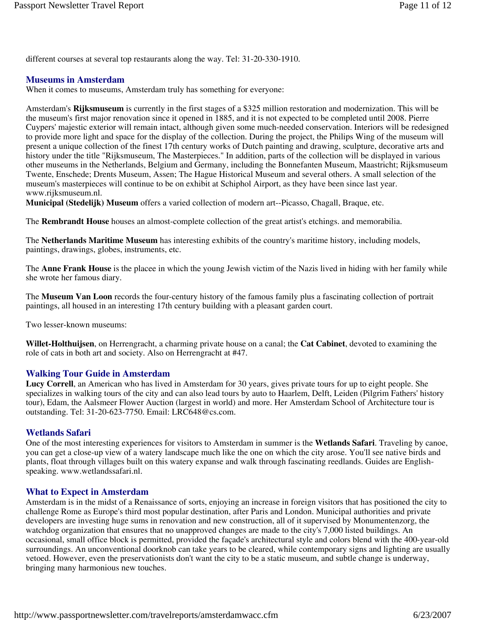different courses at several top restaurants along the way. Tel: 31-20-330-1910.

#### **Museums in Amsterdam**

When it comes to museums, Amsterdam truly has something for everyone:

Amsterdam's **Rijksmuseum** is currently in the first stages of a \$325 million restoration and modernization. This will be the museum's first major renovation since it opened in 1885, and it is not expected to be completed until 2008. Pierre Cuypers' majestic exterior will remain intact, although given some much-needed conservation. Interiors will be redesigned to provide more light and space for the display of the collection. During the project, the Philips Wing of the museum will present a unique collection of the finest 17th century works of Dutch painting and drawing, sculpture, decorative arts and history under the title "Rijksmuseum, The Masterpieces." In addition, parts of the collection will be displayed in various other museums in the Netherlands, Belgium and Germany, including the Bonnefanten Museum, Maastricht; Rijksmuseum Twente, Enschede; Drents Museum, Assen; The Hague Historical Museum and several others. A small selection of the museum's masterpieces will continue to be on exhibit at Schiphol Airport, as they have been since last year. www.rijksmuseum.nl.

**Municipal (Stedelijk) Museum** offers a varied collection of modern art--Picasso, Chagall, Braque, etc.

The **Rembrandt House** houses an almost-complete collection of the great artist's etchings. and memorabilia.

The **Netherlands Maritime Museum** has interesting exhibits of the country's maritime history, including models, paintings, drawings, globes, instruments, etc.

The **Anne Frank House** is the placee in which the young Jewish victim of the Nazis lived in hiding with her family while she wrote her famous diary.

The **Museum Van Loon** records the four-century history of the famous family plus a fascinating collection of portrait paintings, all housed in an interesting 17th century building with a pleasant garden court.

Two lesser-known museums:

**Willet-Holthuijsen**, on Herrengracht, a charming private house on a canal; the **Cat Cabinet**, devoted to examining the role of cats in both art and society. Also on Herrengracht at #47.

#### **Walking Tour Guide in Amsterdam**

**Lucy Correll**, an American who has lived in Amsterdam for 30 years, gives private tours for up to eight people. She specializes in walking tours of the city and can also lead tours by auto to Haarlem, Delft, Leiden (Pilgrim Fathers' history tour), Edam, the Aalsmeer Flower Auction (largest in world) and more. Her Amsterdam School of Architecture tour is outstanding. Tel: 31-20-623-7750. Email: LRC648@cs.com.

#### **Wetlands Safari**

One of the most interesting experiences for visitors to Amsterdam in summer is the **Wetlands Safari**. Traveling by canoe, you can get a close-up view of a watery landscape much like the one on which the city arose. You'll see native birds and plants, float through villages built on this watery expanse and walk through fascinating reedlands. Guides are Englishspeaking. www.wetlandssafari.nl.

#### **What to Expect in Amsterdam**

Amsterdam is in the midst of a Renaissance of sorts, enjoying an increase in foreign visitors that has positioned the city to challenge Rome as Europe's third most popular destination, after Paris and London. Municipal authorities and private developers are investing huge sums in renovation and new construction, all of it supervised by Monumentenzorg, the watchdog organization that ensures that no unapproved changes are made to the city's 7,000 listed buildings. An occasional, small office block is permitted, provided the façade's architectural style and colors blend with the 400-year-old surroundings. An unconventional doorknob can take years to be cleared, while contemporary signs and lighting are usually vetoed. However, even the preservationists don't want the city to be a static museum, and subtle change is underway, bringing many harmonious new touches.